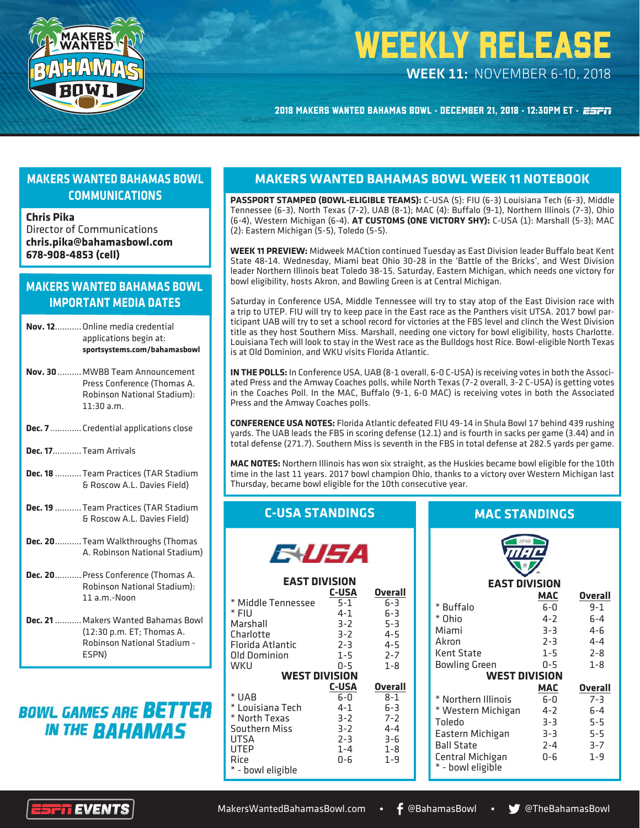

# WEEKLY RELEASE

*WEEK 11:* NOVEMBER 6-10, 2018

2018 MAKERS WANTED BAHAMAS BOWL - DECEMBER 21, 2018 - 12:30PM ET - ESFIT

#### **MAKERS WANTED BAHAMAS BOWL COMMUNICATIONS**

#### **Chris Pika**

Director of Communications **chris.pika@bahamasbowl.com 678-908-4853 (cell)**

#### **MAKERS WANTED BAHAMAS BOWL IMPORTANT MEDIA DATES**

| <b>Nov. 12</b> Online media credential<br>applications begin at:<br>sportsystems.com/bahamasbowl            |
|-------------------------------------------------------------------------------------------------------------|
| Nov. 30  MWBB Team Announcement<br>Press Conference (Thomas A.<br>Robinson National Stadium):<br>11:30 a.m. |

- **Dec. 7** ............. Credential applications close
- **Dec. 17**............ Team Arrivals
- **Dec. 18** ........... Team Practices (TAR Stadium & Roscow A.L. Davies Field)
- **Dec. 19** ........... Team Practices (TAR Stadium & Roscow A.L. Davies Field)
- **Dec. 20** ........... Team Walkthroughs (Thomas A. Robinson National Stadium)
- **Dec. 20** ........... Press Conference (Thomas A. Robinson National Stadium): 11 a.m.-Noon
- **Dec. 21** ........... Makers Wanted Bahamas Bowl (12:30 p.m. ET; Thomas A. Robinson National Stadium - ESPN)

## **BOWL GAMES ARE BETTER IN THE BAHAMAS**

#### **MAKERS WANTED BAHAMAS BOWL WEEK 11 NOTEBOOK**

**PASSPORT STAMPED (BOWL-ELIGIBLE TEAMS):** C-USA (5): FIU (6-3) Louisiana Tech (6-3), Middle Tennessee (6-3), North Texas (7-2), UAB (8-1); MAC (4): Buffalo (9-1), Northern Illinois (7-3), Ohio (6-4), Western Michigan (6-4). **AT CUSTOMS (ONE VICTORY SHY):** C-USA (1): Marshall (5-3); MAC (2): Eastern Michigan (5-5), Toledo (5-5).

**WEEK 11 PREVIEW:** Midweek MACtion continued Tuesday as East Division leader Buffalo beat Kent State 48-14. Wednesday, Miami beat Ohio 30-28 in the 'Battle of the Bricks', and West Division leader Northern Illinois beat Toledo 38-15. Saturday, Eastern Michigan, which needs one victory for bowl eligibility, hosts Akron, and Bowling Green is at Central Michigan.

Saturday in Conference USA, Middle Tennessee will try to stay atop of the East Division race with a trip to UTEP. FIU will try to keep pace in the East race as the Panthers visit UTSA. 2017 bowl participant UAB will try to set a school record for victories at the FBS level and clinch the West Division title as they host Southern Miss. Marshall, needing one victory for bowl eligibility, hosts Charlotte. Louisiana Tech will look to stay in the West race as the Bulldogs host Rice. Bowl-eligible North Texas is at Old Dominion, and WKU visits Florida Atlantic.

**IN THE POLLS:** In Conference USA, UAB (8-1 overall, 6-0 C-USA) is receiving votes in both the Associated Press and the Amway Coaches polls, while North Texas (7-2 overall, 3-2 C-USA) is getting votes in the Coaches Poll. In the MAC, Buffalo (9-1, 6-0 MAC) is receiving votes in both the Associated Press and the Amway Coaches polls.

**CONFERENCE USA NOTES:** Florida Atlantic defeated FIU 49-14 in Shula Bowl 17 behind 439 rushing yards. The UAB leads the FBS in scoring defense (12.1) and is fourth in sacks per game (3.44) and in total defense (271.7). Southern Miss is seventh in the FBS in total defense at 282.5 yards per game.

**MAC NOTES:** Northern Illinois has won six straight, as the Huskies became bowl eligible for the 10th time in the last 11 years. 2017 bowl champion Ohio, thanks to a victory over Western Michigan last Thursday, became bowl eligible for the 10th consecutive year.

#### **C-USA STANDINGS**

| EV SA                |              |                |  |  |  |
|----------------------|--------------|----------------|--|--|--|
| <b>EAST DIVISION</b> |              |                |  |  |  |
|                      | C-USA        | Overall        |  |  |  |
| * Middle Tennessee   | $5-1$        | $6 - 3$        |  |  |  |
| * FIU                | $4 - 1$      | 6-3            |  |  |  |
| Marshall             | $3 - 2$      | $5 - 3$        |  |  |  |
| Charlotte            | $3 - 2$      | $4 - 5$        |  |  |  |
| Florida Atlantic     | $2 - 3$      | $4 - 5$        |  |  |  |
| Old Dominion         | $1 - 5$      | $2 - 7$        |  |  |  |
| WKU                  | 0-5          | $1 - 8$        |  |  |  |
| <b>WEST DIVISION</b> |              |                |  |  |  |
|                      | <b>C-USA</b> | <b>Overall</b> |  |  |  |
| * UAB                | 6-0          | $8 - 1$        |  |  |  |
| * Louisiana Tech     | $4 - 1$      | $6 - 3$        |  |  |  |
| * North Texas        | $3 - 2$      | $7 - 2$        |  |  |  |
| <b>Southern Miss</b> | $3 - 2$      | $4 - 4$        |  |  |  |
| UTSA                 | $2 - 3$      | $3 - 6$        |  |  |  |
| UTEP                 | $1 - 4$      | $1 - 8$        |  |  |  |
| Rice                 | Ი-Ნ          | $1 - 9$        |  |  |  |
| * - bowl eligible    |              |                |  |  |  |

#### **MAC STANDINGS**

| <b>EAST DIVISION</b>                  |            |                |  |  |  |
|---------------------------------------|------------|----------------|--|--|--|
|                                       | MAC        | <b>Overall</b> |  |  |  |
| * Buffalo                             | $6-0$      | $9 - 1$        |  |  |  |
| * Ohio                                | 4-2        | $6 - 4$        |  |  |  |
| Miami                                 | $3 - 3$    | 4-6            |  |  |  |
| Akron                                 | $2 - 3$    | $4 - 4$        |  |  |  |
| Kent State                            | $1 - 5$    | $2 - 8$        |  |  |  |
| Bowling Green                         | 0-5        | $1 - 8$        |  |  |  |
| <b>WEST DIVISION</b>                  |            |                |  |  |  |
|                                       | <b>MAC</b> | <b>Overall</b> |  |  |  |
| * Northern Illinois                   | 6-0        | $7 - 3$        |  |  |  |
| * Western Michigan                    | $4 - 2$    | $6-4$          |  |  |  |
| Toledo                                | $3 - 3$    | $5-5$          |  |  |  |
| Eastern Michigan                      | $3 - 3$    | $5 - 5$        |  |  |  |
| <b>Ball State</b>                     | $2 - 4$    | $3 - 7$        |  |  |  |
| Central Michigan<br>* - bowl eligible | 0-6        | $1 - 9$        |  |  |  |
|                                       |            |                |  |  |  |

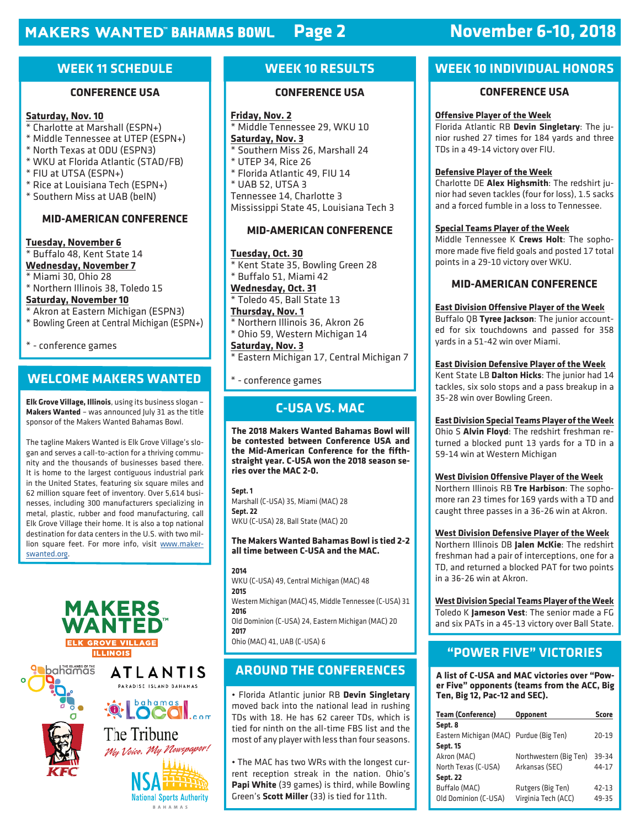## **Page 2 November 6-10, 2018**

#### **WEEK 11 SCHEDULE**

#### **CONFERENCE USA**

#### **Saturday, Nov. 10**

- \* Charlotte at Marshall (ESPN+)
- \* Middle Tennessee at UTEP (ESPN+)
- \* North Texas at ODU (ESPN3)
- \* WKU at Florida Atlantic (STAD/FB)
- \* FIU at UTSA (ESPN+)
- \* Rice at Louisiana Tech (ESPN+)
- \* Southern Miss at UAB (beIN)

#### **MID-AMERICAN CONFERENCE**

**Tuesday, November 6** \* Buffalo 48, Kent State 14 **Wednesday, November 7** \* Miami 30, Ohio 28

- \* Northern Illinois 38, Toledo 15 **Saturday, November 10**
- \* Akron at Eastern Michigan (ESPN3)
- \* Bowling Green at Central Michigan (ESPN+)

\* - conference games

#### **WELCOME MAKERS WANTED**

**Elk Grove Village, Illinois**, using its business slogan – **Makers Wanted** – was announced July 31 as the title sponsor of the Makers Wanted Bahamas Bowl.

The tagline Makers Wanted is Elk Grove Village's slogan and serves a call-to-action for a thriving community and the thousands of businesses based there. It is home to the largest contiguous industrial park in the United States, featuring six square miles and 62 million square feet of inventory. Over 5,614 businesses, including 300 manufacturers specializing in metal, plastic, rubber and food manufacturing, call Elk Grove Village their home. It is also a top national destination for data centers in the U.S. with two million square feet. For more info, visit www.makerswanted.org.



#### **WEEK 10 RESULTS**

#### **CONFERENCE USA**

**Friday, Nov. 2** \* Middle Tennessee 29, WKU 10 **Saturday, Nov. 3** \* Southern Miss 26, Marshall 24 \* UTEP 34, Rice 26 \* Florida Atlantic 49, FIU 14 \* UAB 52, UTSA 3 Tennessee 14, Charlotte 3 Mississippi State 45, Louisiana Tech 3

#### **MID-AMERICAN CONFERENCE**

**Tuesday, Oct. 30** \* Kent State 35, Bowling Green 28 \* Buffalo 51, Miami 42 **Wednesday, Oct. 31** \* Toledo 45, Ball State 13 **Thursday, Nov. 1**

\* Northern Illinois 36, Akron 26 \* Ohio 59, Western Michigan 14

**Saturday, Nov. 3** \* Eastern Michigan 17, Central Michigan 7

\* - conference games

#### **C-USA VS. MAC**

**The 2018 Makers Wanted Bahamas Bowl will be contested between Conference USA and**  the Mid-American Conference for the fifth**straight year. C-USA won the 2018 season series over the MAC 2-0.**

**Sept. 1** Marshall (C-USA) 35, Miami (MAC) 28 **Sept. 22** WKU (C-USA) 28, Ball State (MAC) 20

#### **The Makers Wanted Bahamas Bowl is tied 2-2 all time between C-USA and the MAC.**

**2014** WKU (C-USA) 49, Central Michigan (MAC) 48 **2015** Western Michigan (MAC) 45, Middle Tennessee (C-USA) 31 **2016** Old Dominion (C-USA) 24, Eastern Michigan (MAC) 20 **2017** Ohio (MAC) 41, UAB (C-USA) 6

#### **AROUND THE CONFERENCES**

• Florida Atlantic junior RB **Devin Singletary**  moved back into the national lead in rushing TDs with 18. He has 62 career TDs, which is tied for ninth on the all-time FBS list and the most of any player with less than four seasons.

• The MAC has two WRs with the longest current reception streak in the nation. Ohio's **Papi White** (39 games) is third, while Bowling Green's **Scott Miller** (33) is tied for 11th.

#### **WEEK 10 INDIVIDUAL HONORS**

#### **CONFERENCE USA**

#### **Offensive Player of the Week**

Florida Atlantic RB **Devin Singletary**: The junior rushed 27 times for 184 yards and three TDs in a 49-14 victory over FIU.

#### **Defensive Player of the Week**

Charlotte DE **Alex Highsmith**: The redshirt junior had seven tackles (four for loss), 1.5 sacks and a forced fumble in a loss to Tennessee.

#### **Special Teams Player of the Week**

Middle Tennessee K **Crews Holt**: The sophomore made five field goals and posted 17 total points in a 29-10 victory over WKU.

#### **MID-AMERICAN CONFERENCE**

#### **East Division Offensive Player of the Week**

Buffalo QB **Tyree Jackson**: The junior accounted for six touchdowns and passed for 358 yards in a 51-42 win over Miami.

#### **East Division Defensive Player of the Week**

Kent State LB **Dalton Hicks**: The junior had 14 tackles, six solo stops and a pass breakup in a 35-28 win over Bowling Green.

#### **East Division Special Teams Player of the Week**

Ohio S **Alvin Floyd**: The redshirt freshman returned a blocked punt 13 yards for a TD in a 59-14 win at Western Michigan

#### **West Division Offensive Player of the Week**

Northern Illinois RB **Tre Harbison**: The sophomore ran 23 times for 169 yards with a TD and caught three passes in a 36-26 win at Akron.

**West Division Defensive Player of the Week**

Northern Illinois DB **Jalen McKie**: The redshirt freshman had a pair of interceptions, one for a TD, and returned a blocked PAT for two points in a 36-26 win at Akron.

**West Division Special Teams Player of the Week** Toledo K **Jameson Vest**: The senior made a FG and six PATs in a 45-13 victory over Ball State.

#### **"POWER FIVE" VICTORIES**

**A list of C-USA and MAC victories over "Power Five" opponents (teams from the ACC, Big Ten, Big 12, Pac-12 and SEC).**

| <b>Team (Conference)</b>                | <b>Opponent</b>        | <b>Score</b> |
|-----------------------------------------|------------------------|--------------|
| Sept. 8                                 |                        |              |
| Eastern Michigan (MAC) Purdue (Big Ten) |                        | 20-19        |
| <b>Sept. 15</b>                         |                        |              |
| Akron (MAC)                             | Northwestern (Big Ten) | 39-34        |
| North Texas (C-USA)                     | Arkansas (SEC)         | 44-17        |
| <b>Sept. 22</b>                         |                        |              |
| Buffalo (MAC)                           | Rutgers (Big Ten)      | $42 - 13$    |
| Old Dominion (C-USA)                    | Virginia Tech (ACC)    | 49-35        |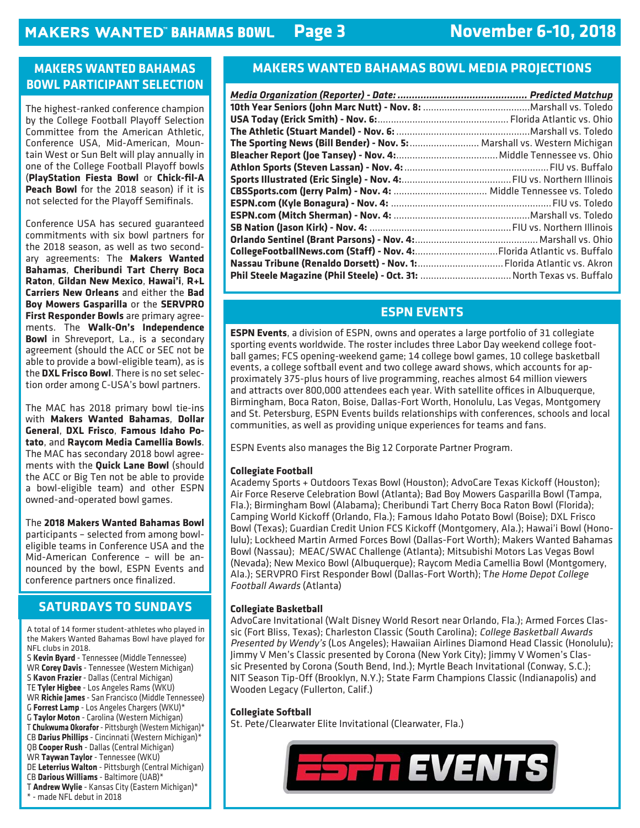### **November 6-10, 2018**

#### **MAKERS WANTED BAHAMAS BOWL PARTICIPANT SELECTION**

The highest-ranked conference champion by the College Football Playoff Selection Committee from the American Athletic, Conference USA, Mid-American, Mountain West or Sun Belt will play annually in one of the College Football Playoff bowls (**PlayStation Fiesta Bowl** or **Chick-fi l-A Peach Bowl** for the 2018 season) if it is not selected for the Playoff Semifinals.

Conference USA has secured guaranteed commitments with six bowl partners for the 2018 season, as well as two secondary agreements: The **Makers Wanted Bahamas**, **Cheribundi Tart Cherry Boca Raton**, **Gildan New Mexico**, **Hawai'i**, **R+L Carriers New Orleans** and either the **Bad Boy Mowers Gasparilla** or the **SERVPRO First Responder Bowls** are primary agreements. The **Walk-On's Independence Bowl** in Shreveport, La., is a secondary agreement (should the ACC or SEC not be able to provide a bowl-eligible team), as is the **DXL Frisco Bowl**. There is no set selection order among C-USA's bowl partners.

The MAC has 2018 primary bowl tie-ins with **Makers Wanted Bahamas**, **Dollar General**, **DXL Frisco**, **Famous Idaho Potato**, and **Raycom Media Camellia Bowls**. The MAC has secondary 2018 bowl agreements with the **Quick Lane Bowl** (should the ACC or Big Ten not be able to provide a bowl-eligible team) and other ESPN owned-and-operated bowl games.

The **2018 Makers Wanted Bahamas Bowl** participants – selected from among bowleligible teams in Conference USA and the Mid-American Conference – will be announced by the bowl, ESPN Events and conference partners once finalized.

#### **SATURDAYS TO SUNDAYS**

A total of 14 former student-athletes who played in the Makers Wanted Bahamas Bowl have played for NFL clubs in 2018. S **Kevin Byard** - Tennessee (Middle Tennessee) WR **Corey Davis** - Tennessee (Western Michigan) S **Kavon Frazier** - Dallas (Central Michigan) TE **Tyler Higbee** - Los Angeles Rams (WKU) WR **Richie James** - San Francisco (Middle Tennessee) G **Forrest Lamp** - Los Angeles Chargers (WKU)\* G **Taylor Moton** - Carolina (Western Michigan) T **Chukwuma Okorafor** - Pittsburgh (Western Michigan)\* CB **Darius Phillips** - Cincinnati (Western Michigan)\* QB **Cooper Rush** - Dallas (Central Michigan) WR **Taywan Taylor** - Tennessee (WKU) DE **Leterrius Walton** - Pittsburgh (Central Michigan) CB **Darious Williams** - Baltimore (UAB)\* T **Andrew Wylie** - Kansas City (Eastern Michigan)\* \* - made NFL debut in 2018

#### **MAKERS WANTED BAHAMAS BOWL MEDIA PROJECTIONS**

| The Sporting News (Bill Bender) - Nov. 5:  Marshall vs. Western Michigan |  |
|--------------------------------------------------------------------------|--|
|                                                                          |  |
|                                                                          |  |
|                                                                          |  |
|                                                                          |  |
|                                                                          |  |
|                                                                          |  |
|                                                                          |  |
|                                                                          |  |
|                                                                          |  |
|                                                                          |  |
|                                                                          |  |

#### **ESPN EVENTS**

**ESPN Events**, a division of ESPN, owns and operates a large portfolio of 31 collegiate sporting events worldwide. The roster includes three Labor Day weekend college football games; FCS opening-weekend game; 14 college bowl games, 10 college basketball events, a college softball event and two college award shows, which accounts for approximately 375-plus hours of live programming, reaches almost 64 million viewers and attracts over 800,000 attendees each year. With satellite offices in Albuquerque, Birmingham, Boca Raton, Boise, Dallas-Fort Worth, Honolulu, Las Vegas, Montgomery and St. Petersburg, ESPN Events builds relationships with conferences, schools and local communities, as well as providing unique experiences for teams and fans.

ESPN Events also manages the Big 12 Corporate Partner Program.

#### **Collegiate Football**

Academy Sports + Outdoors Texas Bowl (Houston); AdvoCare Texas Kickoff (Houston); Air Force Reserve Celebration Bowl (Atlanta); Bad Boy Mowers Gasparilla Bowl (Tampa, Fla.); Birmingham Bowl (Alabama); Cheribundi Tart Cherry Boca Raton Bowl (Florida); Camping World Kickoff (Orlando, Fla.); Famous Idaho Potato Bowl (Boise); DXL Frisco Bowl (Texas); Guardian Credit Union FCS Kickoff (Montgomery, Ala.); Hawai'i Bowl (Honolulu); Lockheed Martin Armed Forces Bowl (Dallas-Fort Worth); Makers Wanted Bahamas Bowl (Nassau); MEAC/SWAC Challenge (Atlanta); Mitsubishi Motors Las Vegas Bowl (Nevada); New Mexico Bowl (Albuquerque); Raycom Media Camellia Bowl (Montgomery, Ala.); SERVPRO First Responder Bowl (Dallas-Fort Worth); The Home Depot College Football Awards (Atlanta)

#### **Collegiate Basketball**

AdvoCare Invitational (Walt Disney World Resort near Orlando, Fla.); Armed Forces Classic (Fort Bliss, Texas); Charleston Classic (South Carolina); College Basketball Awards Presented by Wendy's (Los Angeles); Hawaiian Airlines Diamond Head Classic (Honolulu); Jimmy V Men's Classic presented by Corona (New York City); Jimmy V Women's Classic Presented by Corona (South Bend, Ind.); Myrtle Beach Invitational (Conway, S.C.); NIT Season Tip-Off (Brooklyn, N.Y.); State Farm Champions Classic (Indianapolis) and Wooden Legacy (Fullerton, Calif.)

#### **Collegiate Softball**

St. Pete/Clearwater Elite Invitational (Clearwater, Fla.)